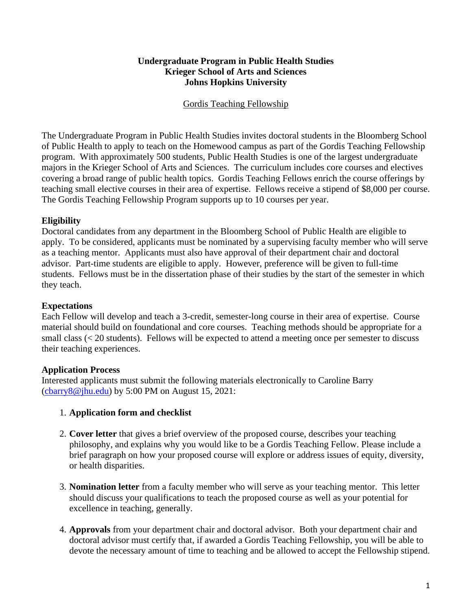# **Undergraduate Program in Public Health Studies Krieger School of Arts and Sciences Johns Hopkins University**

# Gordis Teaching Fellowship

The Undergraduate Program in Public Health Studies invites doctoral students in the Bloomberg School of Public Health to apply to teach on the Homewood campus as part of the Gordis Teaching Fellowship program. With approximately 500 students, Public Health Studies is one of the largest undergraduate majors in the Krieger School of Arts and Sciences. The curriculum includes core courses and electives covering a broad range of public health topics. Gordis Teaching Fellows enrich the course offerings by teaching small elective courses in their area of expertise. Fellows receive a stipend of \$8,000 per course. The Gordis Teaching Fellowship Program supports up to 10 courses per year.

# **Eligibility**

Doctoral candidates from any department in the Bloomberg School of Public Health are eligible to apply. To be considered, applicants must be nominated by a supervising faculty member who will serve as a teaching mentor. Applicants must also have approval of their department chair and doctoral advisor. Part-time students are eligible to apply. However, preference will be given to full-time students. Fellows must be in the dissertation phase of their studies by the start of the semester in which they teach.

# **Expectations**

Each Fellow will develop and teach a 3-credit, semester-long course in their area of expertise. Course material should build on foundational and core courses. Teaching methods should be appropriate for a small class (< 20 students). Fellows will be expected to attend a meeting once per semester to discuss their teaching experiences.

# **Application Process**

Interested applicants must submit the following materials electronically to Caroline Barry  $($ cbarry $8@$ jhu.edu) by 5:00 PM on August 15, 2021:

# 1. **Application form and checklist**

- 2. **Cover letter** that gives a brief overview of the proposed course, describes your teaching philosophy, and explains why you would like to be a Gordis Teaching Fellow. Please include a brief paragraph on how your proposed course will explore or address issues of equity, diversity, or health disparities.
- 3. **Nomination letter** from a faculty member who will serve as your teaching mentor. This letter should discuss your qualifications to teach the proposed course as well as your potential for excellence in teaching, generally.
- 4. **Approvals** from your department chair and doctoral advisor. Both your department chair and doctoral advisor must certify that, if awarded a Gordis Teaching Fellowship, you will be able to devote the necessary amount of time to teaching and be allowed to accept the Fellowship stipend.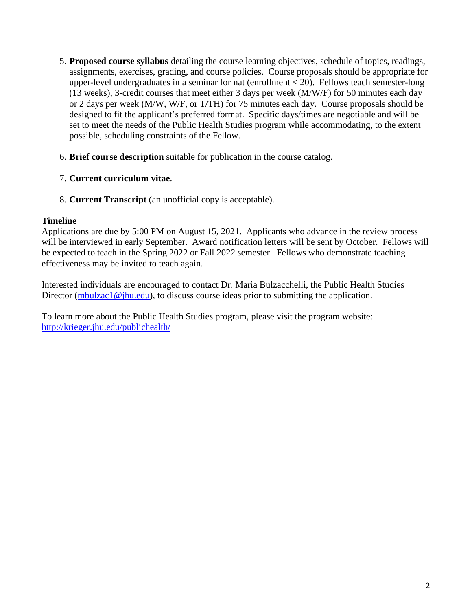- 5. **Proposed course syllabus** detailing the course learning objectives, schedule of topics, readings, assignments, exercises, grading, and course policies. Course proposals should be appropriate for upper-level undergraduates in a seminar format (enrollment < 20). Fellows teach semester-long (13 weeks), 3-credit courses that meet either 3 days per week (M/W/F) for 50 minutes each day or 2 days per week (M/W, W/F, or T/TH) for 75 minutes each day. Course proposals should be designed to fit the applicant's preferred format. Specific days/times are negotiable and will be set to meet the needs of the Public Health Studies program while accommodating, to the extent possible, scheduling constraints of the Fellow.
- 6. **Brief course description** suitable for publication in the course catalog.
- 7. **Current curriculum vitae**.
- 8. **Current Transcript** (an unofficial copy is acceptable).

# **Timeline**

Applications are due by 5:00 PM on August 15, 2021. Applicants who advance in the review process will be interviewed in early September. Award notification letters will be sent by October. Fellows will be expected to teach in the Spring 2022 or Fall 2022 semester. Fellows who demonstrate teaching effectiveness may be invited to teach again.

Interested individuals are encouraged to contact Dr. Maria Bulzacchelli, the Public Health Studies Director [\(mbulzac1@jhu.edu\)](mailto:mbulzac1@jhu.edu), to discuss course ideas prior to submitting the application.

To learn more about the Public Health Studies program, please visit the program website: <http://krieger.jhu.edu/publichealth/>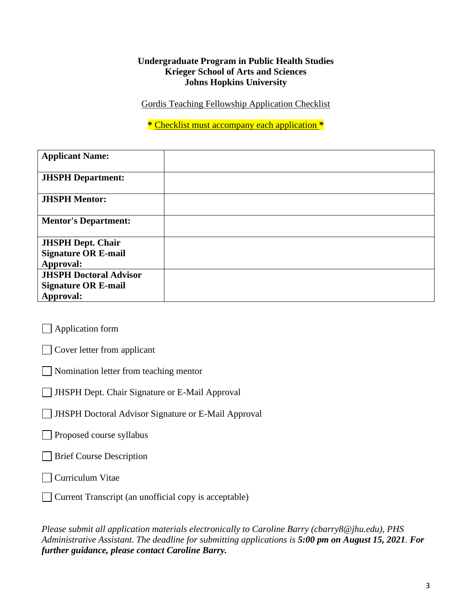# **Undergraduate Program in Public Health Studies Krieger School of Arts and Sciences Johns Hopkins University**

Gordis Teaching Fellowship Application Checklist

**\*** Checklist must accompany each application **\***

| <b>Applicant Name:</b>        |  |
|-------------------------------|--|
| <b>JHSPH</b> Department:      |  |
| <b>JHSPH Mentor:</b>          |  |
| <b>Mentor's Department:</b>   |  |
| <b>JHSPH Dept. Chair</b>      |  |
| <b>Signature OR E-mail</b>    |  |
| Approval:                     |  |
| <b>JHSPH Doctoral Advisor</b> |  |
| <b>Signature OR E-mail</b>    |  |
| Approval:                     |  |

**Application form** 

Cover letter from applicant

Nomination letter from teaching mentor

JHSPH Dept. Chair Signature or E-Mail Approval

JHSPH Doctoral Advisor Signature or E-Mail Approval

Proposed course syllabus

**Brief Course Description** 

Curriculum Vitae

 $\Box$  Current Transcript (an unofficial copy is acceptable)

*Please submit all application materials electronically to Caroline Barry (cbarry8@jhu.edu), PHS Administrative Assistant. The deadline for submitting applications is 5:00 pm on August 15, 2021. For further guidance, please contact Caroline Barry.*